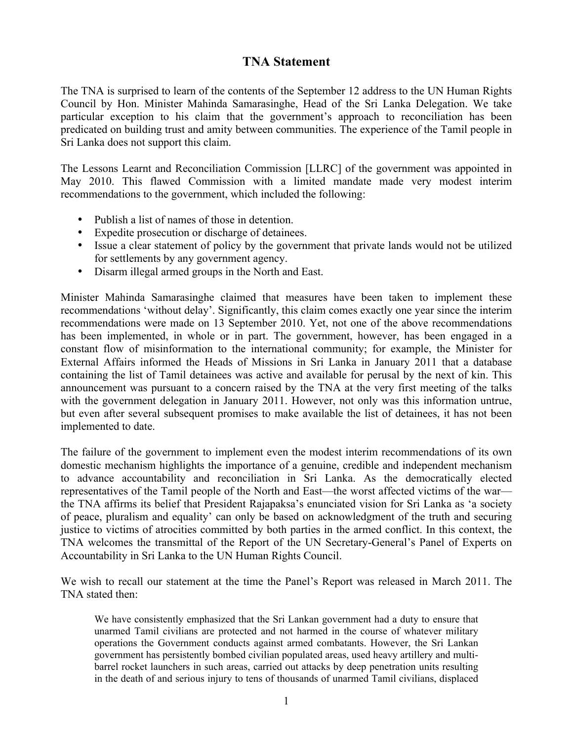## **TNA Statement**

The TNA is surprised to learn of the contents of the September 12 address to the UN Human Rights Council by Hon. Minister Mahinda Samarasinghe, Head of the Sri Lanka Delegation. We take particular exception to his claim that the government's approach to reconciliation has been predicated on building trust and amity between communities. The experience of the Tamil people in Sri Lanka does not support this claim.

The Lessons Learnt and Reconciliation Commission [LLRC] of the government was appointed in May 2010. This flawed Commission with a limited mandate made very modest interim recommendations to the government, which included the following:

- Publish a list of names of those in detention.
- Expedite prosecution or discharge of detainees.
- Issue a clear statement of policy by the government that private lands would not be utilized for settlements by any government agency.
- Disarm illegal armed groups in the North and East.

Minister Mahinda Samarasinghe claimed that measures have been taken to implement these recommendations 'without delay'. Significantly, this claim comes exactly one year since the interim recommendations were made on 13 September 2010. Yet, not one of the above recommendations has been implemented, in whole or in part. The government, however, has been engaged in a constant flow of misinformation to the international community; for example, the Minister for External Affairs informed the Heads of Missions in Sri Lanka in January 2011 that a database containing the list of Tamil detainees was active and available for perusal by the next of kin. This announcement was pursuant to a concern raised by the TNA at the very first meeting of the talks with the government delegation in January 2011. However, not only was this information untrue, but even after several subsequent promises to make available the list of detainees, it has not been implemented to date.

The failure of the government to implement even the modest interim recommendations of its own domestic mechanism highlights the importance of a genuine, credible and independent mechanism to advance accountability and reconciliation in Sri Lanka. As the democratically elected representatives of the Tamil people of the North and East—the worst affected victims of the war the TNA affirms its belief that President Rajapaksa's enunciated vision for Sri Lanka as 'a society of peace, pluralism and equality' can only be based on acknowledgment of the truth and securing justice to victims of atrocities committed by both parties in the armed conflict. In this context, the TNA welcomes the transmittal of the Report of the UN Secretary-General's Panel of Experts on Accountability in Sri Lanka to the UN Human Rights Council.

We wish to recall our statement at the time the Panel's Report was released in March 2011. The TNA stated then:

We have consistently emphasized that the Sri Lankan government had a duty to ensure that unarmed Tamil civilians are protected and not harmed in the course of whatever military operations the Government conducts against armed combatants. However, the Sri Lankan government has persistently bombed civilian populated areas, used heavy artillery and multibarrel rocket launchers in such areas, carried out attacks by deep penetration units resulting in the death of and serious injury to tens of thousands of unarmed Tamil civilians, displaced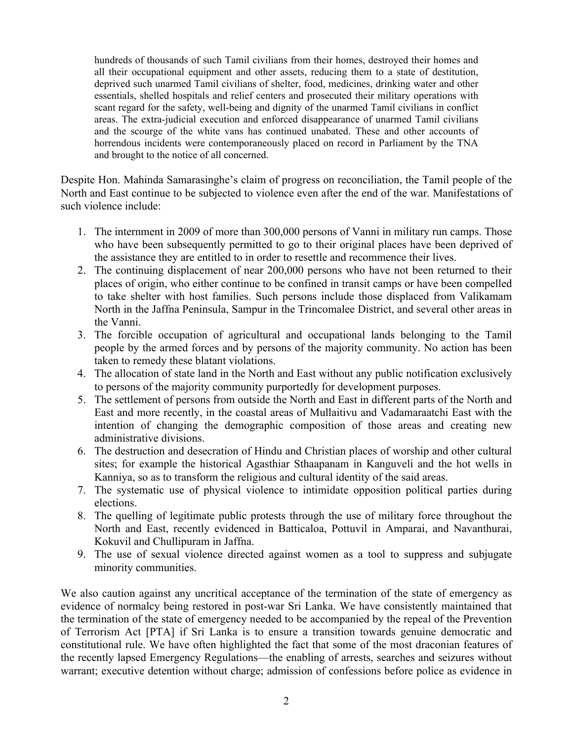hundreds of thousands of such Tamil civilians from their homes, destroyed their homes and all their occupational equipment and other assets, reducing them to a state of destitution, deprived such unarmed Tamil civilians of shelter, food, medicines, drinking water and other essentials, shelled hospitals and relief centers and prosecuted their military operations with scant regard for the safety, well-being and dignity of the unarmed Tamil civilians in conflict areas. The extra-judicial execution and enforced disappearance of unarmed Tamil civilians and the scourge of the white vans has continued unabated. These and other accounts of horrendous incidents were contemporaneously placed on record in Parliament by the TNA and brought to the notice of all concerned.

Despite Hon. Mahinda Samarasinghe's claim of progress on reconciliation, the Tamil people of the North and East continue to be subjected to violence even after the end of the war. Manifestations of such violence include:

- 1. The internment in 2009 of more than 300,000 persons of Vanni in military run camps. Those who have been subsequently permitted to go to their original places have been deprived of the assistance they are entitled to in order to resettle and recommence their lives.
- 2. The continuing displacement of near 200,000 persons who have not been returned to their places of origin, who either continue to be confined in transit camps or have been compelled to take shelter with host families. Such persons include those displaced from Valikamam North in the Jaffna Peninsula, Sampur in the Trincomalee District, and several other areas in the Vanni.
- 3. The forcible occupation of agricultural and occupational lands belonging to the Tamil people by the armed forces and by persons of the majority community. No action has been taken to remedy these blatant violations.
- 4. The allocation of state land in the North and East without any public notification exclusively to persons of the majority community purportedly for development purposes.
- 5. The settlement of persons from outside the North and East in different parts of the North and East and more recently, in the coastal areas of Mullaitivu and Vadamaraatchi East with the intention of changing the demographic composition of those areas and creating new administrative divisions.
- 6. The destruction and desecration of Hindu and Christian places of worship and other cultural sites; for example the historical Agasthiar Sthaapanam in Kanguveli and the hot wells in Kanniya, so as to transform the religious and cultural identity of the said areas.
- 7. The systematic use of physical violence to intimidate opposition political parties during elections.
- 8. The quelling of legitimate public protests through the use of military force throughout the North and East, recently evidenced in Batticaloa, Pottuvil in Amparai, and Navanthurai, Kokuvil and Chullipuram in Jaffna.
- 9. The use of sexual violence directed against women as a tool to suppress and subjugate minority communities.

We also caution against any uncritical acceptance of the termination of the state of emergency as evidence of normalcy being restored in post-war Sri Lanka. We have consistently maintained that the termination of the state of emergency needed to be accompanied by the repeal of the Prevention of Terrorism Act [PTA] if Sri Lanka is to ensure a transition towards genuine democratic and constitutional rule. We have often highlighted the fact that some of the most draconian features of the recently lapsed Emergency Regulations—the enabling of arrests, searches and seizures without warrant; executive detention without charge; admission of confessions before police as evidence in